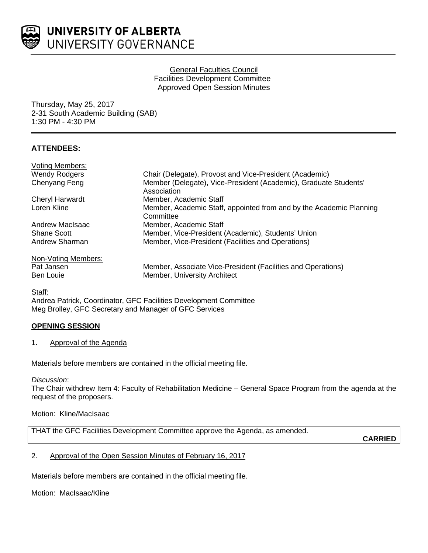

## General Faculties Council Facilities Development Committee Approved Open Session Minutes

Thursday, May 25, 2017 2-31 South Academic Building (SAB) 1:30 PM - 4:30 PM

# **ATTENDEES:**

| <b>Voting Members:</b> |                                                                                  |
|------------------------|----------------------------------------------------------------------------------|
| <b>Wendy Rodgers</b>   | Chair (Delegate), Provost and Vice-President (Academic)                          |
| Chenyang Feng          | Member (Delegate), Vice-President (Academic), Graduate Students'<br>Association  |
| Cheryl Harwardt        | Member, Academic Staff                                                           |
| Loren Kline            | Member, Academic Staff, appointed from and by the Academic Planning<br>Committee |
| Andrew MacIsaac        | Member, Academic Staff                                                           |
| Shane Scott            | Member, Vice-President (Academic), Students' Union                               |
| Andrew Sharman         | Member, Vice-President (Facilities and Operations)                               |
| Non-Voting Members:    |                                                                                  |
| Pat Jansen             | Member, Associate Vice-President (Facilities and Operations)                     |
| <b>Ben Louie</b>       | Member, University Architect                                                     |

Staff:

Andrea Patrick, Coordinator, GFC Facilities Development Committee Meg Brolley, GFC Secretary and Manager of GFC Services

# **OPENING SESSION**

## 1. Approval of the Agenda

Materials before members are contained in the official meeting file.

*Discussion*:

The Chair withdrew Item 4: Faculty of Rehabilitation Medicine – General Space Program from the agenda at the request of the proposers.

## Motion: Kline/MacIsaac

THAT the GFC Facilities Development Committee approve the Agenda, as amended.

**CARRIED**

## 2. Approval of the Open Session Minutes of February 16, 2017

Materials before members are contained in the official meeting file.

Motion: MacIsaac/Kline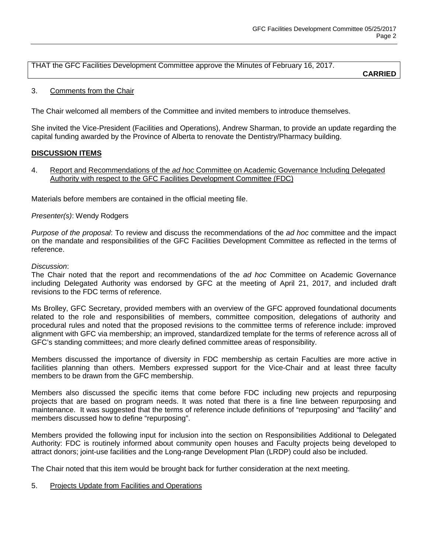THAT the GFC Facilities Development Committee approve the Minutes of February 16, 2017.

**CARRIED**

## 3. Comments from the Chair

The Chair welcomed all members of the Committee and invited members to introduce themselves.

She invited the Vice-President (Facilities and Operations), Andrew Sharman, to provide an update regarding the capital funding awarded by the Province of Alberta to renovate the Dentistry/Pharmacy building.

## **DISCUSSION ITEMS**

4. Report and Recommendations of the *ad hoc* Committee on Academic Governance Including Delegated Authority with respect to the GFC Facilities Development Committee (FDC)

Materials before members are contained in the official meeting file.

#### *Presenter(s)*: Wendy Rodgers

*Purpose of the proposal*: To review and discuss the recommendations of the *ad hoc* committee and the impact on the mandate and responsibilities of the GFC Facilities Development Committee as reflected in the terms of reference.

#### *Discussion*:

The Chair noted that the report and recommendations of the *ad hoc* Committee on Academic Governance including Delegated Authority was endorsed by GFC at the meeting of April 21, 2017, and included draft revisions to the FDC terms of reference.

Ms Brolley, GFC Secretary, provided members with an overview of the GFC approved foundational documents related to the role and responsibilities of members, committee composition, delegations of authority and procedural rules and noted that the proposed revisions to the committee terms of reference include: improved alignment with GFC via membership; an improved, standardized template for the terms of reference across all of GFC's standing committees; and more clearly defined committee areas of responsibility.

Members discussed the importance of diversity in FDC membership as certain Faculties are more active in facilities planning than others. Members expressed support for the Vice-Chair and at least three faculty members to be drawn from the GFC membership.

Members also discussed the specific items that come before FDC including new projects and repurposing projects that are based on program needs. It was noted that there is a fine line between repurposing and maintenance. It was suggested that the terms of reference include definitions of "repurposing" and "facility" and members discussed how to define "repurposing".

Members provided the following input for inclusion into the section on Responsibilities Additional to Delegated Authority: FDC is routinely informed about community open houses and Faculty projects being developed to attract donors; joint-use facilities and the Long-range Development Plan (LRDP) could also be included.

The Chair noted that this item would be brought back for further consideration at the next meeting.

5. Projects Update from Facilities and Operations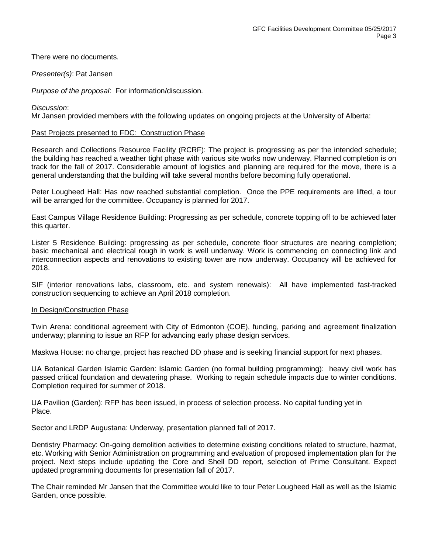There were no documents.

*Presenter(s)*: Pat Jansen

*Purpose of the proposal*: For information/discussion.

*Discussion*:

Mr Jansen provided members with the following updates on ongoing projects at the University of Alberta:

#### Past Projects presented to FDC: Construction Phase

Research and Collections Resource Facility (RCRF): The project is progressing as per the intended schedule; the building has reached a weather tight phase with various site works now underway. Planned completion is on track for the fall of 2017. Considerable amount of logistics and planning are required for the move, there is a general understanding that the building will take several months before becoming fully operational.

Peter Lougheed Hall: Has now reached substantial completion. Once the PPE requirements are lifted, a tour will be arranged for the committee. Occupancy is planned for 2017.

East Campus Village Residence Building: Progressing as per schedule, concrete topping off to be achieved later this quarter.

Lister 5 Residence Building: progressing as per schedule, concrete floor structures are nearing completion; basic mechanical and electrical rough in work is well underway. Work is commencing on connecting link and interconnection aspects and renovations to existing tower are now underway. Occupancy will be achieved for 2018.

SIF (interior renovations labs, classroom, etc. and system renewals): All have implemented fast-tracked construction sequencing to achieve an April 2018 completion.

#### In Design/Construction Phase

Twin Arena: conditional agreement with City of Edmonton (COE), funding, parking and agreement finalization underway; planning to issue an RFP for advancing early phase design services.

Maskwa House: no change, project has reached DD phase and is seeking financial support for next phases.

UA Botanical Garden Islamic Garden: Islamic Garden (no formal building programming): heavy civil work has passed critical foundation and dewatering phase. Working to regain schedule impacts due to winter conditions. Completion required for summer of 2018.

UA Pavilion (Garden): RFP has been issued, in process of selection process. No capital funding yet in Place.

Sector and LRDP Augustana: Underway, presentation planned fall of 2017.

Dentistry Pharmacy: On-going demolition activities to determine existing conditions related to structure, hazmat, etc. Working with Senior Administration on programming and evaluation of proposed implementation plan for the project. Next steps include updating the Core and Shell DD report, selection of Prime Consultant. Expect updated programming documents for presentation fall of 2017.

The Chair reminded Mr Jansen that the Committee would like to tour Peter Lougheed Hall as well as the Islamic Garden, once possible.